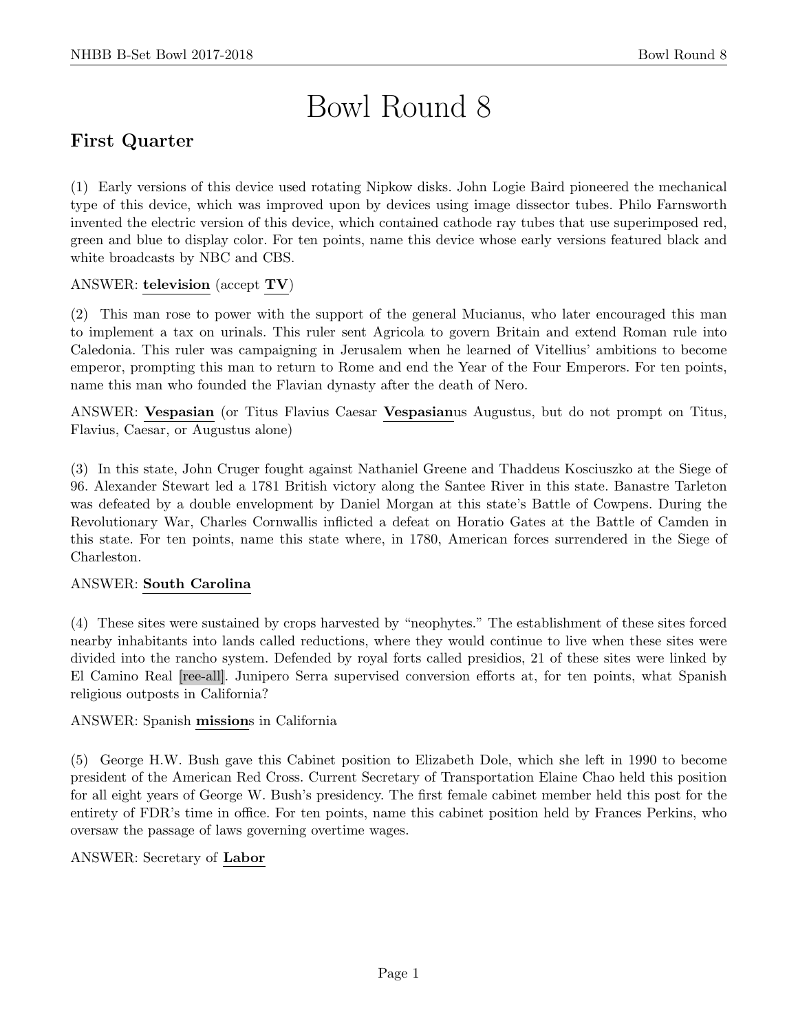# Bowl Round 8

# First Quarter

(1) Early versions of this device used rotating Nipkow disks. John Logie Baird pioneered the mechanical type of this device, which was improved upon by devices using image dissector tubes. Philo Farnsworth invented the electric version of this device, which contained cathode ray tubes that use superimposed red, green and blue to display color. For ten points, name this device whose early versions featured black and white broadcasts by NBC and CBS.

#### ANSWER: television (accept TV)

(2) This man rose to power with the support of the general Mucianus, who later encouraged this man to implement a tax on urinals. This ruler sent Agricola to govern Britain and extend Roman rule into Caledonia. This ruler was campaigning in Jerusalem when he learned of Vitellius' ambitions to become emperor, prompting this man to return to Rome and end the Year of the Four Emperors. For ten points, name this man who founded the Flavian dynasty after the death of Nero.

ANSWER: Vespasian (or Titus Flavius Caesar Vespasianus Augustus, but do not prompt on Titus, Flavius, Caesar, or Augustus alone)

(3) In this state, John Cruger fought against Nathaniel Greene and Thaddeus Kosciuszko at the Siege of 96. Alexander Stewart led a 1781 British victory along the Santee River in this state. Banastre Tarleton was defeated by a double envelopment by Daniel Morgan at this state's Battle of Cowpens. During the Revolutionary War, Charles Cornwallis inflicted a defeat on Horatio Gates at the Battle of Camden in this state. For ten points, name this state where, in 1780, American forces surrendered in the Siege of Charleston.

#### ANSWER: South Carolina

(4) These sites were sustained by crops harvested by "neophytes." The establishment of these sites forced nearby inhabitants into lands called reductions, where they would continue to live when these sites were divided into the rancho system. Defended by royal forts called presidios, 21 of these sites were linked by El Camino Real [ree-all]. Junipero Serra supervised conversion efforts at, for ten points, what Spanish religious outposts in California?

#### ANSWER: Spanish missions in California

(5) George H.W. Bush gave this Cabinet position to Elizabeth Dole, which she left in 1990 to become president of the American Red Cross. Current Secretary of Transportation Elaine Chao held this position for all eight years of George W. Bush's presidency. The first female cabinet member held this post for the entirety of FDR's time in office. For ten points, name this cabinet position held by Frances Perkins, who oversaw the passage of laws governing overtime wages.

#### ANSWER: Secretary of Labor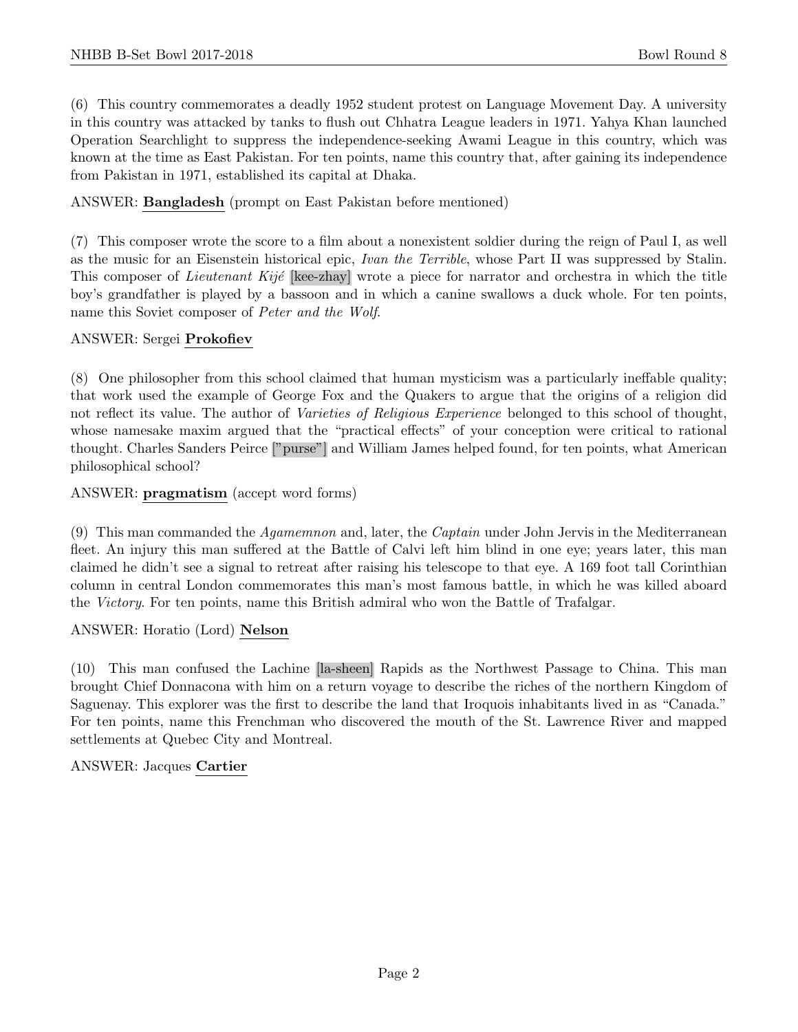(6) This country commemorates a deadly 1952 student protest on Language Movement Day. A university in this country was attacked by tanks to flush out Chhatra League leaders in 1971. Yahya Khan launched Operation Searchlight to suppress the independence-seeking Awami League in this country, which was known at the time as East Pakistan. For ten points, name this country that, after gaining its independence from Pakistan in 1971, established its capital at Dhaka.

ANSWER: Bangladesh (prompt on East Pakistan before mentioned)

(7) This composer wrote the score to a film about a nonexistent soldier during the reign of Paul I, as well as the music for an Eisenstein historical epic, Ivan the Terrible, whose Part II was suppressed by Stalin. This composer of *Lieutenant Kijé* [kee-zhay] wrote a piece for narrator and orchestra in which the title boy's grandfather is played by a bassoon and in which a canine swallows a duck whole. For ten points, name this Soviet composer of Peter and the Wolf.

#### ANSWER: Sergei Prokofiev

(8) One philosopher from this school claimed that human mysticism was a particularly ineffable quality; that work used the example of George Fox and the Quakers to argue that the origins of a religion did not reflect its value. The author of *Varieties of Religious Experience* belonged to this school of thought, whose namesake maxim argued that the "practical effects" of your conception were critical to rational thought. Charles Sanders Peirce ["purse"] and William James helped found, for ten points, what American philosophical school?

ANSWER: pragmatism (accept word forms)

(9) This man commanded the *Agamemnon* and, later, the *Captain* under John Jervis in the Mediterranean fleet. An injury this man suffered at the Battle of Calvi left him blind in one eye; years later, this man claimed he didn't see a signal to retreat after raising his telescope to that eye. A 169 foot tall Corinthian column in central London commemorates this man's most famous battle, in which he was killed aboard the Victory. For ten points, name this British admiral who won the Battle of Trafalgar.

ANSWER: Horatio (Lord) Nelson

(10) This man confused the Lachine [la-sheen] Rapids as the Northwest Passage to China. This man brought Chief Donnacona with him on a return voyage to describe the riches of the northern Kingdom of Saguenay. This explorer was the first to describe the land that Iroquois inhabitants lived in as "Canada." For ten points, name this Frenchman who discovered the mouth of the St. Lawrence River and mapped settlements at Quebec City and Montreal.

## ANSWER: Jacques Cartier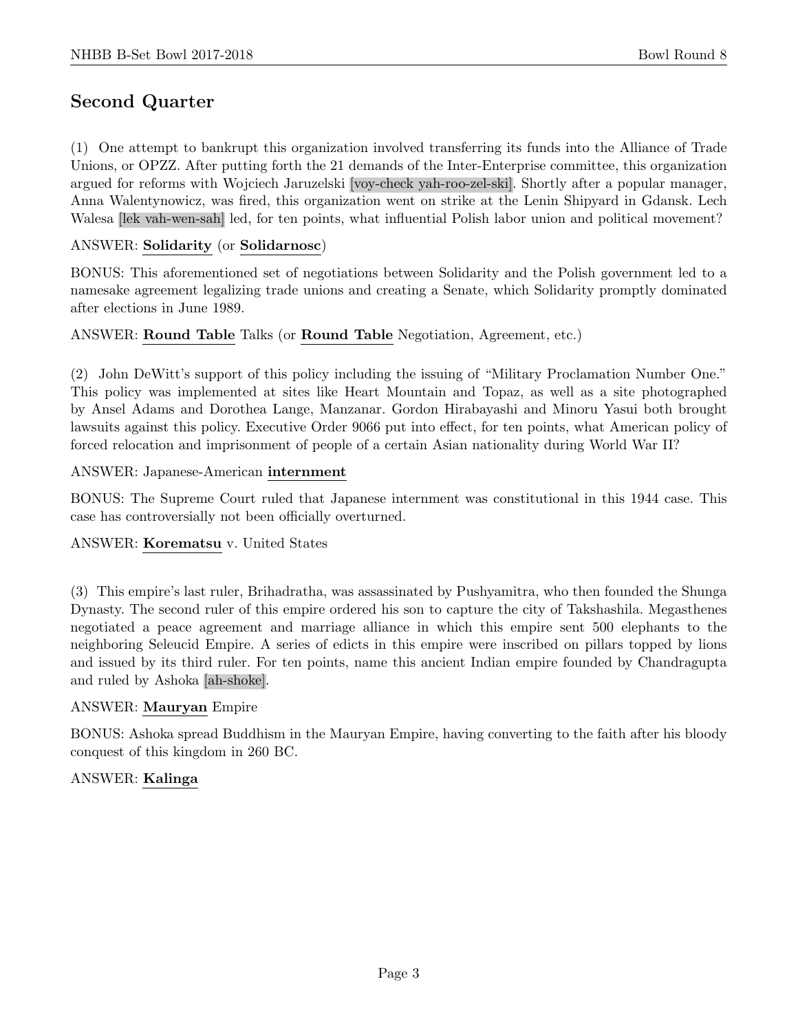# Second Quarter

(1) One attempt to bankrupt this organization involved transferring its funds into the Alliance of Trade Unions, or OPZZ. After putting forth the 21 demands of the Inter-Enterprise committee, this organization argued for reforms with Wojciech Jaruzelski [voy-check yah-roo-zel-ski]. Shortly after a popular manager, Anna Walentynowicz, was fired, this organization went on strike at the Lenin Shipyard in Gdansk. Lech Walesa [lek vah-wen-sah] led, for ten points, what influential Polish labor union and political movement?

#### ANSWER: Solidarity (or Solidarnosc)

BONUS: This aforementioned set of negotiations between Solidarity and the Polish government led to a namesake agreement legalizing trade unions and creating a Senate, which Solidarity promptly dominated after elections in June 1989.

#### ANSWER: Round Table Talks (or Round Table Negotiation, Agreement, etc.)

(2) John DeWitt's support of this policy including the issuing of "Military Proclamation Number One." This policy was implemented at sites like Heart Mountain and Topaz, as well as a site photographed by Ansel Adams and Dorothea Lange, Manzanar. Gordon Hirabayashi and Minoru Yasui both brought lawsuits against this policy. Executive Order 9066 put into effect, for ten points, what American policy of forced relocation and imprisonment of people of a certain Asian nationality during World War II?

#### ANSWER: Japanese-American internment

BONUS: The Supreme Court ruled that Japanese internment was constitutional in this 1944 case. This case has controversially not been officially overturned.

#### ANSWER: Korematsu v. United States

(3) This empire's last ruler, Brihadratha, was assassinated by Pushyamitra, who then founded the Shunga Dynasty. The second ruler of this empire ordered his son to capture the city of Takshashila. Megasthenes negotiated a peace agreement and marriage alliance in which this empire sent 500 elephants to the neighboring Seleucid Empire. A series of edicts in this empire were inscribed on pillars topped by lions and issued by its third ruler. For ten points, name this ancient Indian empire founded by Chandragupta and ruled by Ashoka [ah-shoke].

#### ANSWER: Mauryan Empire

BONUS: Ashoka spread Buddhism in the Mauryan Empire, having converting to the faith after his bloody conquest of this kingdom in 260 BC.

#### ANSWER: Kalinga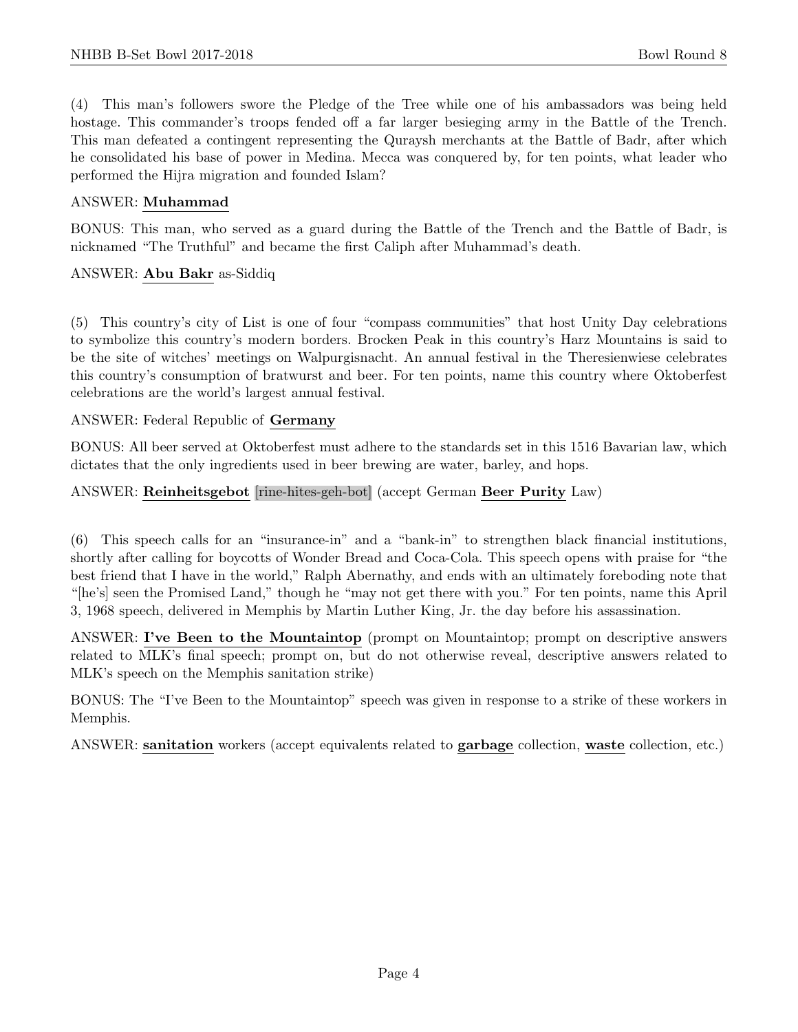(4) This man's followers swore the Pledge of the Tree while one of his ambassadors was being held hostage. This commander's troops fended off a far larger besieging army in the Battle of the Trench. This man defeated a contingent representing the Quraysh merchants at the Battle of Badr, after which he consolidated his base of power in Medina. Mecca was conquered by, for ten points, what leader who performed the Hijra migration and founded Islam?

#### ANSWER: Muhammad

BONUS: This man, who served as a guard during the Battle of the Trench and the Battle of Badr, is nicknamed "The Truthful" and became the first Caliph after Muhammad's death.

#### ANSWER: Abu Bakr as-Siddiq

(5) This country's city of List is one of four "compass communities" that host Unity Day celebrations to symbolize this country's modern borders. Brocken Peak in this country's Harz Mountains is said to be the site of witches' meetings on Walpurgisnacht. An annual festival in the Theresienwiese celebrates this country's consumption of bratwurst and beer. For ten points, name this country where Oktoberfest celebrations are the world's largest annual festival.

#### ANSWER: Federal Republic of Germany

BONUS: All beer served at Oktoberfest must adhere to the standards set in this 1516 Bavarian law, which dictates that the only ingredients used in beer brewing are water, barley, and hops.

#### ANSWER: Reinheitsgebot [rine-hites-geh-bot] (accept German Beer Purity Law)

(6) This speech calls for an "insurance-in" and a "bank-in" to strengthen black financial institutions, shortly after calling for boycotts of Wonder Bread and Coca-Cola. This speech opens with praise for "the best friend that I have in the world," Ralph Abernathy, and ends with an ultimately foreboding note that "[he's] seen the Promised Land," though he "may not get there with you." For ten points, name this April 3, 1968 speech, delivered in Memphis by Martin Luther King, Jr. the day before his assassination.

ANSWER: I've Been to the Mountaintop (prompt on Mountaintop; prompt on descriptive answers related to MLK's final speech; prompt on, but do not otherwise reveal, descriptive answers related to MLK's speech on the Memphis sanitation strike)

BONUS: The "I've Been to the Mountaintop" speech was given in response to a strike of these workers in Memphis.

ANSWER: sanitation workers (accept equivalents related to garbage collection, waste collection, etc.)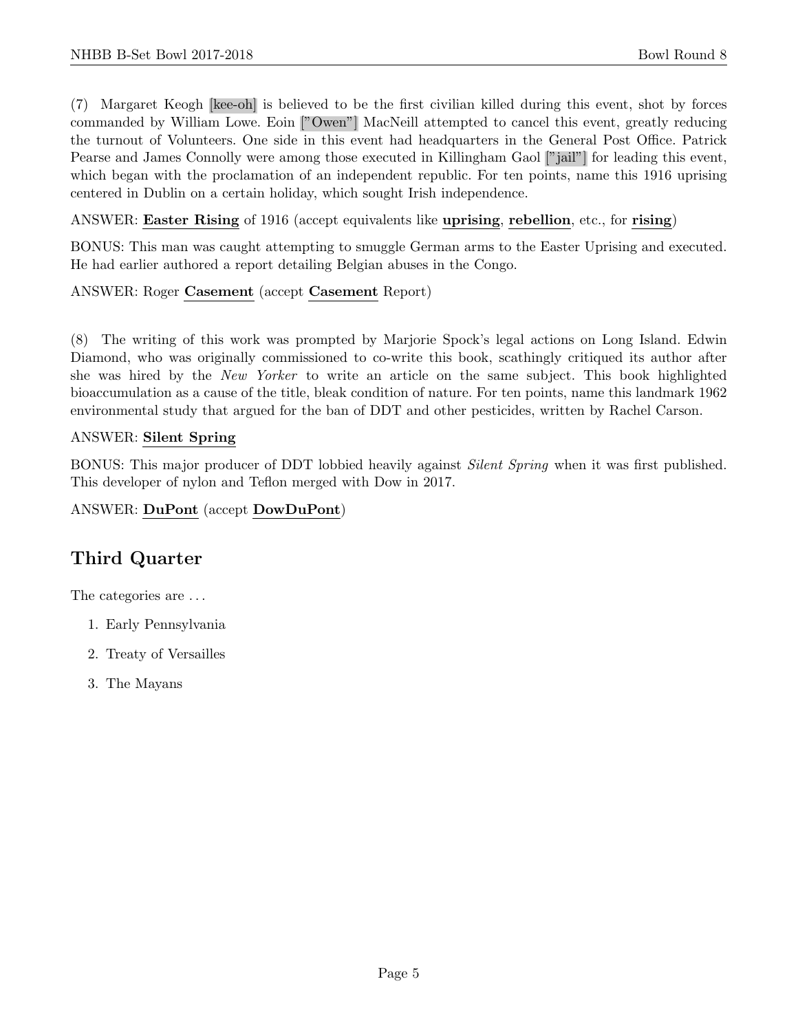(7) Margaret Keogh [kee-oh] is believed to be the first civilian killed during this event, shot by forces commanded by William Lowe. Eoin ["Owen"] MacNeill attempted to cancel this event, greatly reducing the turnout of Volunteers. One side in this event had headquarters in the General Post Office. Patrick Pearse and James Connolly were among those executed in Killingham Gaol ["jail"] for leading this event, which began with the proclamation of an independent republic. For ten points, name this 1916 uprising centered in Dublin on a certain holiday, which sought Irish independence.

ANSWER: Easter Rising of 1916 (accept equivalents like uprising, rebellion, etc., for rising)

BONUS: This man was caught attempting to smuggle German arms to the Easter Uprising and executed. He had earlier authored a report detailing Belgian abuses in the Congo.

#### ANSWER: Roger Casement (accept Casement Report)

(8) The writing of this work was prompted by Marjorie Spock's legal actions on Long Island. Edwin Diamond, who was originally commissioned to co-write this book, scathingly critiqued its author after she was hired by the New Yorker to write an article on the same subject. This book highlighted bioaccumulation as a cause of the title, bleak condition of nature. For ten points, name this landmark 1962 environmental study that argued for the ban of DDT and other pesticides, written by Rachel Carson.

#### ANSWER: Silent Spring

BONUS: This major producer of DDT lobbied heavily against *Silent Spring* when it was first published. This developer of nylon and Teflon merged with Dow in 2017.

#### ANSWER: DuPont (accept DowDuPont)

# Third Quarter

The categories are . . .

- 1. Early Pennsylvania
- 2. Treaty of Versailles
- 3. The Mayans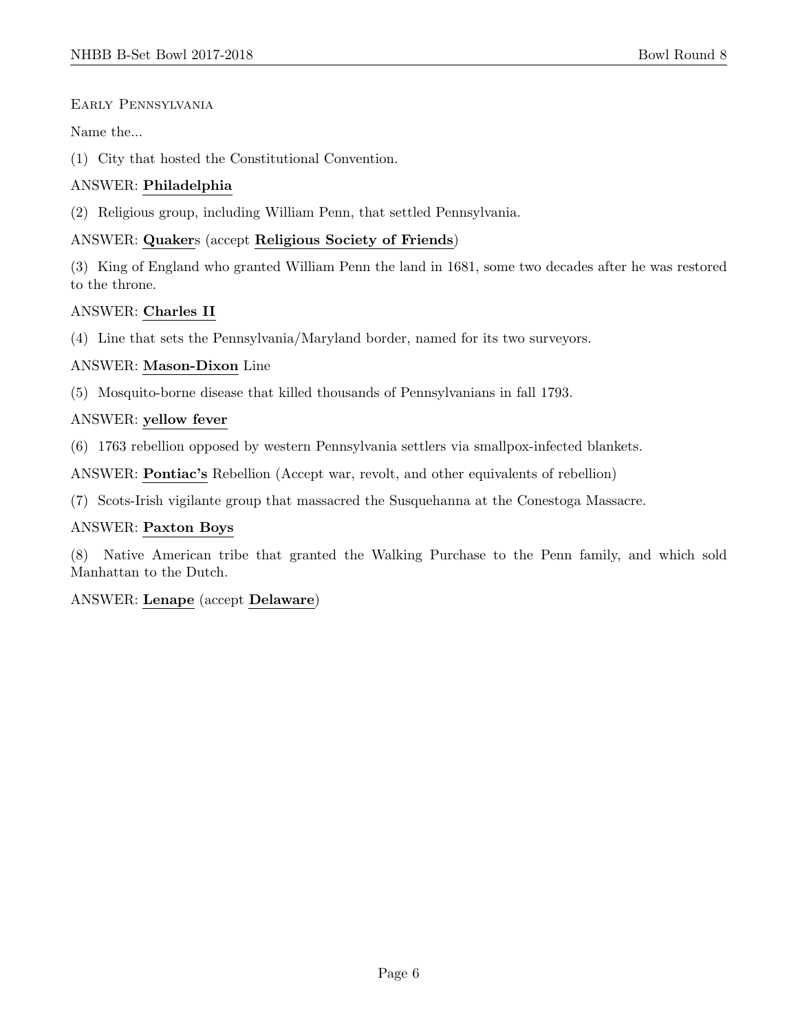#### Early Pennsylvania

Name the...

(1) City that hosted the Constitutional Convention.

#### ANSWER: Philadelphia

(2) Religious group, including William Penn, that settled Pennsylvania.

#### ANSWER: Quakers (accept Religious Society of Friends)

(3) King of England who granted William Penn the land in 1681, some two decades after he was restored to the throne.

#### ANSWER: Charles II

(4) Line that sets the Pennsylvania/Maryland border, named for its two surveyors.

#### ANSWER: Mason-Dixon Line

(5) Mosquito-borne disease that killed thousands of Pennsylvanians in fall 1793.

#### ANSWER: yellow fever

(6) 1763 rebellion opposed by western Pennsylvania settlers via smallpox-infected blankets.

ANSWER: Pontiac's Rebellion (Accept war, revolt, and other equivalents of rebellion)

(7) Scots-Irish vigilante group that massacred the Susquehanna at the Conestoga Massacre.

#### ANSWER: Paxton Boys

(8) Native American tribe that granted the Walking Purchase to the Penn family, and which sold Manhattan to the Dutch.

## ANSWER: Lenape (accept Delaware)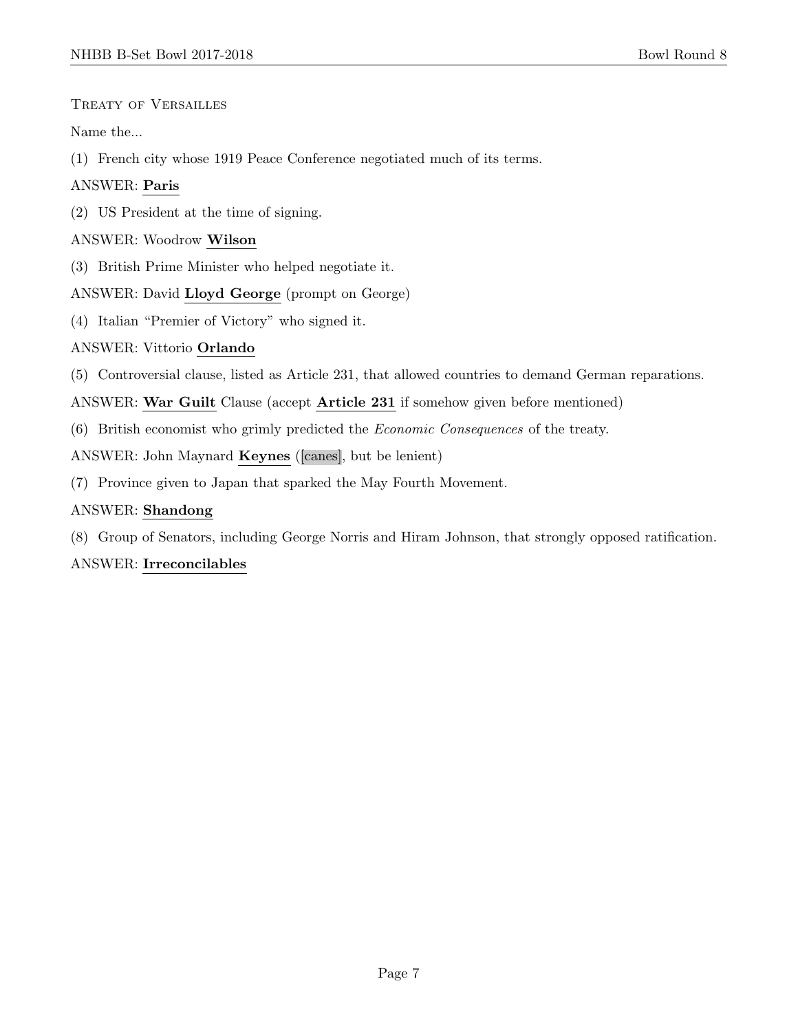Treaty of Versailles

Name the...

(1) French city whose 1919 Peace Conference negotiated much of its terms.

## ANSWER: Paris

(2) US President at the time of signing.

#### ANSWER: Woodrow Wilson

(3) British Prime Minister who helped negotiate it.

#### ANSWER: David Lloyd George (prompt on George)

(4) Italian "Premier of Victory" who signed it.

## ANSWER: Vittorio Orlando

(5) Controversial clause, listed as Article 231, that allowed countries to demand German reparations.

ANSWER: War Guilt Clause (accept Article 231 if somehow given before mentioned)

(6) British economist who grimly predicted the Economic Consequences of the treaty.

ANSWER: John Maynard Keynes ([canes], but be lenient)

(7) Province given to Japan that sparked the May Fourth Movement.

## ANSWER: Shandong

(8) Group of Senators, including George Norris and Hiram Johnson, that strongly opposed ratification.

## ANSWER: Irreconcilables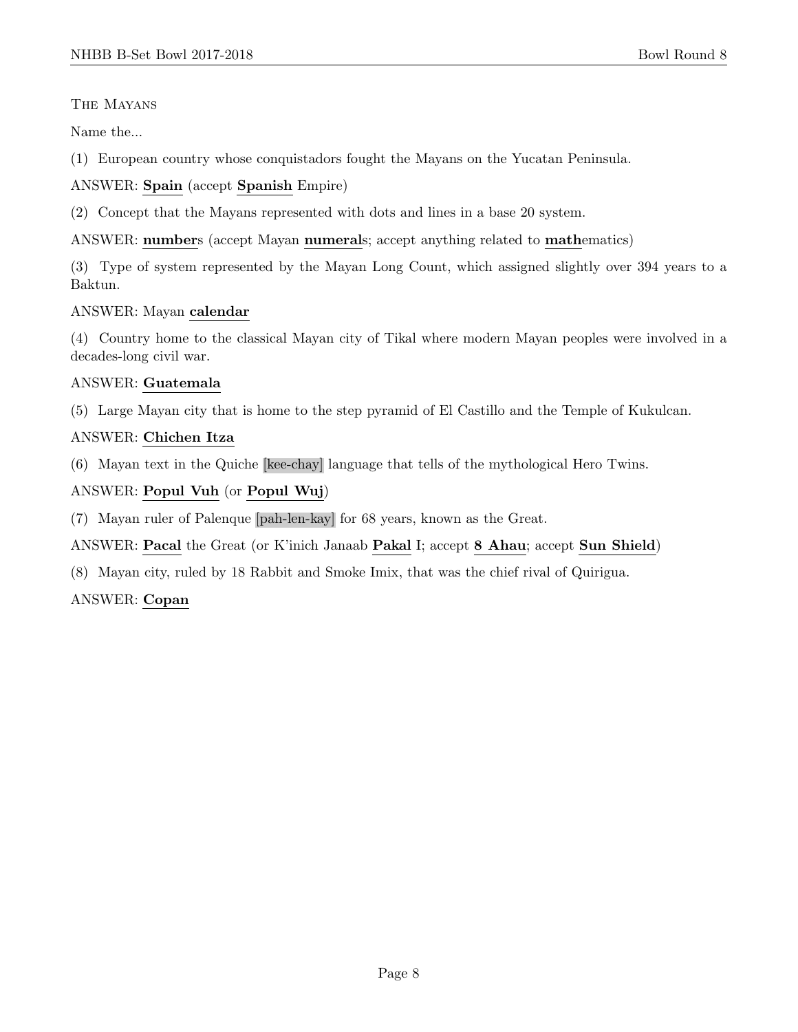#### The Mayans

Name the...

(1) European country whose conquistadors fought the Mayans on the Yucatan Peninsula.

ANSWER: Spain (accept Spanish Empire)

(2) Concept that the Mayans represented with dots and lines in a base 20 system.

ANSWER: numbers (accept Mayan numerals; accept anything related to mathematics)

(3) Type of system represented by the Mayan Long Count, which assigned slightly over 394 years to a Baktun.

#### ANSWER: Mayan calendar

(4) Country home to the classical Mayan city of Tikal where modern Mayan peoples were involved in a decades-long civil war.

## ANSWER: Guatemala

(5) Large Mayan city that is home to the step pyramid of El Castillo and the Temple of Kukulcan.

#### ANSWER: Chichen Itza

(6) Mayan text in the Quiche [kee-chay] language that tells of the mythological Hero Twins.

#### ANSWER: Popul Vuh (or Popul Wuj)

(7) Mayan ruler of Palenque [pah-len-kay] for 68 years, known as the Great.

ANSWER: Pacal the Great (or K'inich Janaab Pakal I; accept 8 Ahau; accept Sun Shield)

(8) Mayan city, ruled by 18 Rabbit and Smoke Imix, that was the chief rival of Quirigua.

## ANSWER: Copan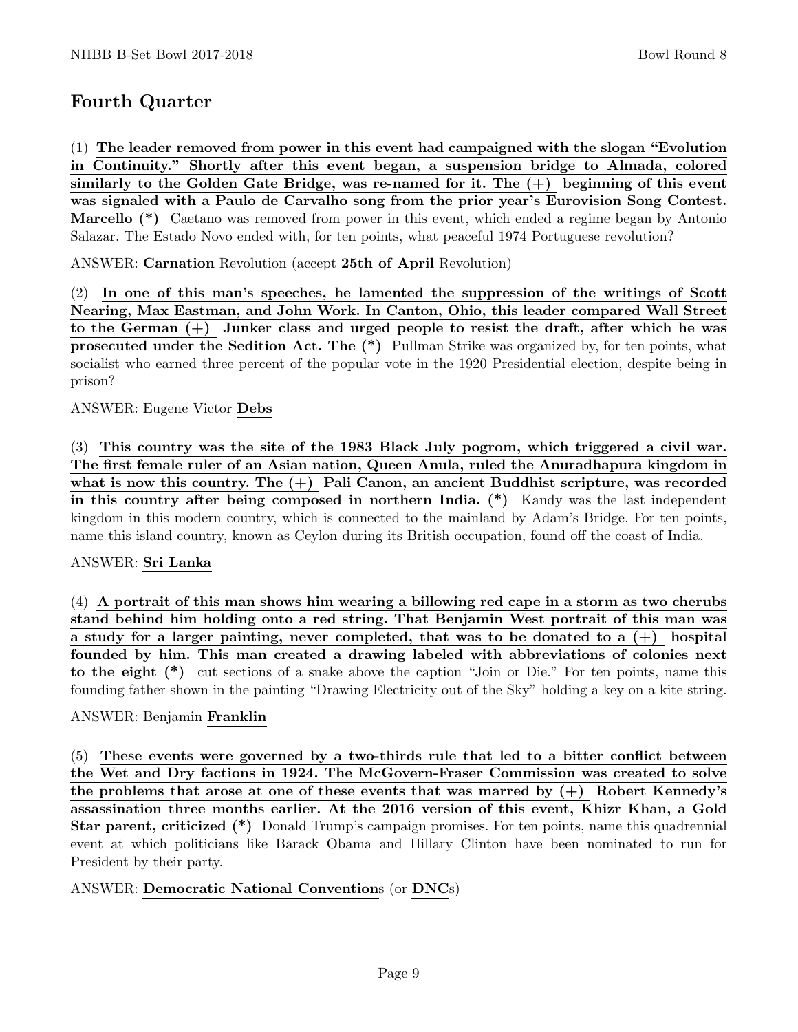# Fourth Quarter

(1) The leader removed from power in this event had campaigned with the slogan "Evolution in Continuity." Shortly after this event began, a suspension bridge to Almada, colored similarly to the Golden Gate Bridge, was re-named for it. The  $(+)$  beginning of this event was signaled with a Paulo de Carvalho song from the prior year's Eurovision Song Contest. Marcello (\*) Caetano was removed from power in this event, which ended a regime began by Antonio Salazar. The Estado Novo ended with, for ten points, what peaceful 1974 Portuguese revolution?

ANSWER: Carnation Revolution (accept 25th of April Revolution)

(2) In one of this man's speeches, he lamented the suppression of the writings of Scott Nearing, Max Eastman, and John Work. In Canton, Ohio, this leader compared Wall Street to the German (+) Junker class and urged people to resist the draft, after which he was prosecuted under the Sedition Act. The (\*) Pullman Strike was organized by, for ten points, what socialist who earned three percent of the popular vote in the 1920 Presidential election, despite being in prison?

#### ANSWER: Eugene Victor Debs

(3) This country was the site of the 1983 Black July pogrom, which triggered a civil war. The first female ruler of an Asian nation, Queen Anula, ruled the Anuradhapura kingdom in what is now this country. The (+) Pali Canon, an ancient Buddhist scripture, was recorded in this country after being composed in northern India. (\*) Kandy was the last independent kingdom in this modern country, which is connected to the mainland by Adam's Bridge. For ten points, name this island country, known as Ceylon during its British occupation, found off the coast of India.

#### ANSWER: Sri Lanka

(4) A portrait of this man shows him wearing a billowing red cape in a storm as two cherubs stand behind him holding onto a red string. That Benjamin West portrait of this man was a study for a larger painting, never completed, that was to be donated to a  $(+)$  hospital founded by him. This man created a drawing labeled with abbreviations of colonies next to the eight (\*) cut sections of a snake above the caption "Join or Die." For ten points, name this founding father shown in the painting "Drawing Electricity out of the Sky" holding a key on a kite string.

#### ANSWER: Benjamin Franklin

(5) These events were governed by a two-thirds rule that led to a bitter conflict between the Wet and Dry factions in 1924. The McGovern-Fraser Commission was created to solve the problems that arose at one of these events that was marred by  $(+)$  Robert Kennedy's assassination three months earlier. At the 2016 version of this event, Khizr Khan, a Gold Star parent, criticized (\*) Donald Trump's campaign promises. For ten points, name this quadrennial event at which politicians like Barack Obama and Hillary Clinton have been nominated to run for President by their party.

#### ANSWER: Democratic National Conventions (or DNCs)